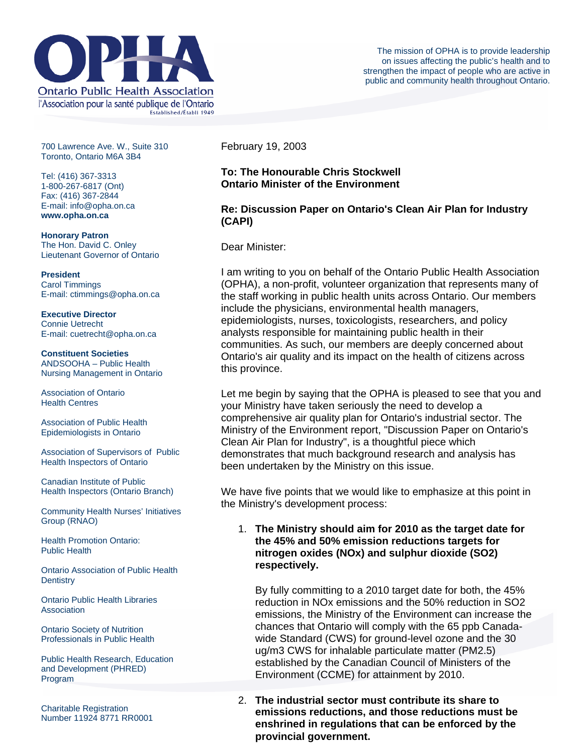

700 Lawrence Ave. W., Suite 310 Toronto, Ontario M6A 3B4

Tel: (416) 367-3313 1-800-267-6817 (Ont) Fax: (416) 367-2844 E-mail: info@opha.on.ca **www.opha.on.ca** 

**Honorary Patron**  The Hon. David C. Onley Lieutenant Governor of Ontario

**President**  Carol Timmings E-mail: ctimmings@opha.on.ca

**Executive Director**  Connie Uetrecht E-mail: cuetrecht@opha.on.ca

**Constituent Societies**  ANDSOOHA – Public Health Nursing Management in Ontario

Association of Ontario Health Centres

Association of Public Health Epidemiologists in Ontario

Association of Supervisors of Public Health Inspectors of Ontario

Canadian Institute of Public Health Inspectors (Ontario Branch)

Community Health Nurses' Initiatives Group (RNAO)

Health Promotion Ontario: Public Health

Ontario Association of Public Health **Dentistry** 

Ontario Public Health Libraries **Association** 

Ontario Society of Nutrition Professionals in Public Health

Public Health Research, Education and Development (PHRED) Program

Charitable Registration Number 11924 8771 RR0001 February 19, 2003

# **To: The Honourable Chris Stockwell Ontario Minister of the Environment**

## **Re: Discussion Paper on Ontario's Clean Air Plan for Industry (CAPI)**

Dear Minister:

I am writing to you on behalf of the Ontario Public Health Association (OPHA), a non-profit, volunteer organization that represents many of the staff working in public health units across Ontario. Our members include the physicians, environmental health managers, epidemiologists, nurses, toxicologists, researchers, and policy analysts responsible for maintaining public health in their communities. As such, our members are deeply concerned about Ontario's air quality and its impact on the health of citizens across this province.

Let me begin by saying that the OPHA is pleased to see that you and your Ministry have taken seriously the need to develop a comprehensive air quality plan for Ontario's industrial sector. The Ministry of the Environment report, "Discussion Paper on Ontario's Clean Air Plan for Industry", is a thoughtful piece which demonstrates that much background research and analysis has been undertaken by the Ministry on this issue.

We have five points that we would like to emphasize at this point in the Ministry's development process:

### 1. **The Ministry should aim for 2010 as the target date for the 45% and 50% emission reductions targets for nitrogen oxides (NOx) and sulphur dioxide (SO2) respectively.**

By fully committing to a 2010 target date for both, the 45% reduction in NOx emissions and the 50% reduction in SO2 emissions, the Ministry of the Environment can increase the chances that Ontario will comply with the 65 ppb Canadawide Standard (CWS) for ground-level ozone and the 30 ug/m3 CWS for inhalable particulate matter (PM2.5) established by the Canadian Council of Ministers of the Environment (CCME) for attainment by 2010.

2. **The industrial sector must contribute its share to emissions reductions, and those reductions must be enshrined in regulations that can be enforced by the provincial government.**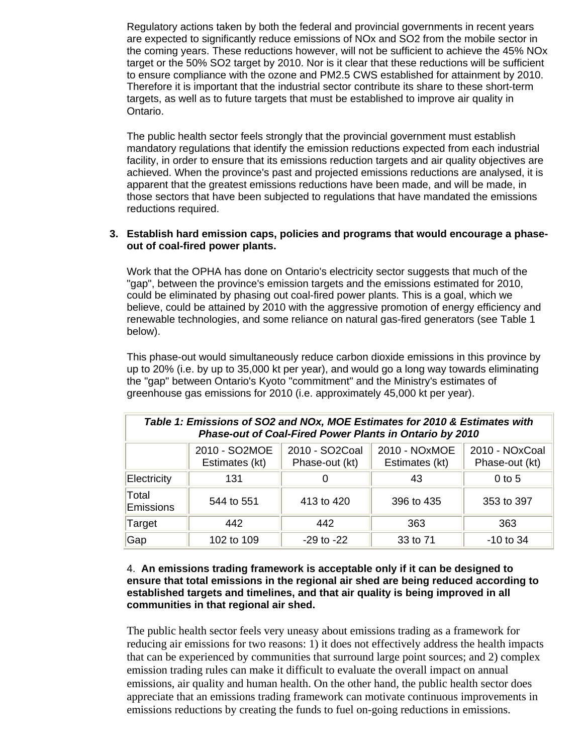Regulatory actions taken by both the federal and provincial governments in recent years are expected to significantly reduce emissions of NOx and SO2 from the mobile sector in the coming years. These reductions however, will not be sufficient to achieve the 45% NOx target or the 50% SO2 target by 2010. Nor is it clear that these reductions will be sufficient to ensure compliance with the ozone and PM2.5 CWS established for attainment by 2010. Therefore it is important that the industrial sector contribute its share to these short-term targets, as well as to future targets that must be established to improve air quality in Ontario.

The public health sector feels strongly that the provincial government must establish mandatory regulations that identify the emission reductions expected from each industrial facility, in order to ensure that its emissions reduction targets and air quality objectives are achieved. When the province's past and projected emissions reductions are analysed, it is apparent that the greatest emissions reductions have been made, and will be made, in those sectors that have been subjected to regulations that have mandated the emissions reductions required.

#### **3. Establish hard emission caps, policies and programs that would encourage a phaseout of coal-fired power plants.**

Work that the OPHA has done on Ontario's electricity sector suggests that much of the "gap", between the province's emission targets and the emissions estimated for 2010, could be eliminated by phasing out coal-fired power plants. This is a goal, which we believe, could be attained by 2010 with the aggressive promotion of energy efficiency and renewable technologies, and some reliance on natural gas-fired generators (see Table 1 below).

This phase-out would simultaneously reduce carbon dioxide emissions in this province by up to 20% (i.e. by up to 35,000 kt per year), and would go a long way towards eliminating the "gap" between Ontario's Kyoto "commitment" and the Ministry's estimates of greenhouse gas emissions for 2010 (i.e. approximately 45,000 kt per year).

| Table 1: Emissions of SO2 and NOx, MOE Estimates for 2010 & Estimates with<br>Phase-out of Coal-Fired Power Plants in Ontario by 2010 |                                 |                                  |                                 |                                  |
|---------------------------------------------------------------------------------------------------------------------------------------|---------------------------------|----------------------------------|---------------------------------|----------------------------------|
|                                                                                                                                       | 2010 - SO2MOE<br>Estimates (kt) | 2010 - SO2Coal<br>Phase-out (kt) | 2010 - NOxMOE<br>Estimates (kt) | 2010 - NOxCoal<br>Phase-out (kt) |
| Electricity                                                                                                                           | 131                             |                                  | 43                              | $0$ to 5                         |
| Total<br>Emissions                                                                                                                    | 544 to 551                      | 413 to 420                       | 396 to 435                      | 353 to 397                       |
| Target                                                                                                                                | 442                             | 442                              | 363                             | 363                              |
| Gap                                                                                                                                   | 102 to 109                      | $-29$ to $-22$                   | 33 to 71                        | $-10$ to 34                      |

#### 4. **An emissions trading framework is acceptable only if it can be designed to ensure that total emissions in the regional air shed are being reduced according to established targets and timelines, and that air quality is being improved in all communities in that regional air shed.**

The public health sector feels very uneasy about emissions trading as a framework for reducing air emissions for two reasons: 1) it does not effectively address the health impacts that can be experienced by communities that surround large point sources; and 2) complex emission trading rules can make it difficult to evaluate the overall impact on annual emissions, air quality and human health. On the other hand, the public health sector does appreciate that an emissions trading framework can motivate continuous improvements in emissions reductions by creating the funds to fuel on-going reductions in emissions.